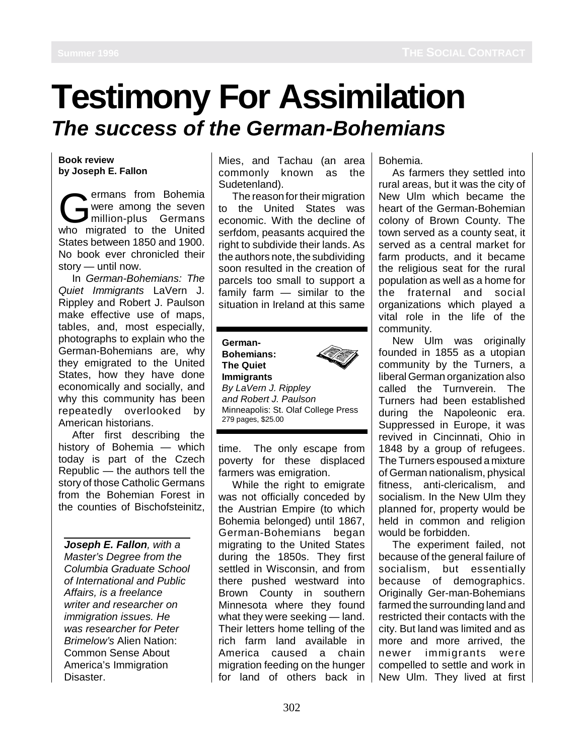## **Testimony For Assimilation The success of the German-Bohemians**

**Book review by Joseph E. Fallon**

ermans from Bohemia were among the seven million-plus Germans who migrated to the United States between 1850 and 1900. No book ever chronicled their story — until now.

In German-Bohemians: The Quiet Immigrants LaVern J. Rippley and Robert J. Paulson make effective use of maps, tables, and, most especially, photographs to explain who the German-Bohemians are, why they emigrated to the United States, how they have done economically and socially, and why this community has been repeatedly overlooked by American historians.

After first describing the history of Bohemia — which today is part of the Czech Republic — the authors tell the story of those Catholic Germans from the Bohemian Forest in the counties of Bischofsteinitz,

**Joseph E. Fallon**, with a Master's Degree from the Columbia Graduate School of International and Public Affairs, is a freelance writer and researcher on immigration issues. He was researcher for Peter Brimelow's Alien Nation: Common Sense About America's Immigration Disaster.

Mies, and Tachau (an area commonly known as the Sudetenland).

The reason for their migration to the United States was economic. With the decline of serfdom, peasants acquired the right to subdivide their lands. As the authors note, the subdividing soon resulted in the creation of parcels too small to support a family farm — similar to the situation in Ireland at this same

**German-Bohemians: The Quiet Immigrants** By LaVern J. Rippley and Robert J. Paulson Minneapolis: St. Olaf College Press 279 pages, \$25.00

time. The only escape from poverty for these displaced farmers was emigration.

While the right to emigrate was not officially conceded by the Austrian Empire (to which Bohemia belonged) until 1867, German-Bohemians began migrating to the United States during the 1850s. They first settled in Wisconsin, and from there pushed westward into Brown County in southern Minnesota where they found what they were seeking - land. Their letters home telling of the rich farm land available in America caused a chain migration feeding on the hunger for land of others back in Bohemia.

As farmers they settled into rural areas, but it was the city of New Ulm which became the heart of the German-Bohemian colony of Brown County. The town served as a county seat, it served as a central market for farm products, and it became the religious seat for the rural population as well as a home for the fraternal and social organizations which played a vital role in the life of the community.

New Ulm was originally founded in 1855 as a utopian community by the Turners, a liberal German organization also called the Turnverein. The Turners had been established during the Napoleonic era. Suppressed in Europe, it was revived in Cincinnati, Ohio in 1848 by a group of refugees. The Turners espoused a mixture of German nationalism, physical fitness, anti-clericalism, and socialism. In the New Ulm they planned for, property would be held in common and religion would be forbidden.

The experiment failed, not because of the general failure of socialism, but essentially because of demographics. Originally Ger-man-Bohemians farmed the surrounding land and restricted their contacts with the city. But land was limited and as more and more arrived, the newer immigrants were compelled to settle and work in New Ulm. They lived at first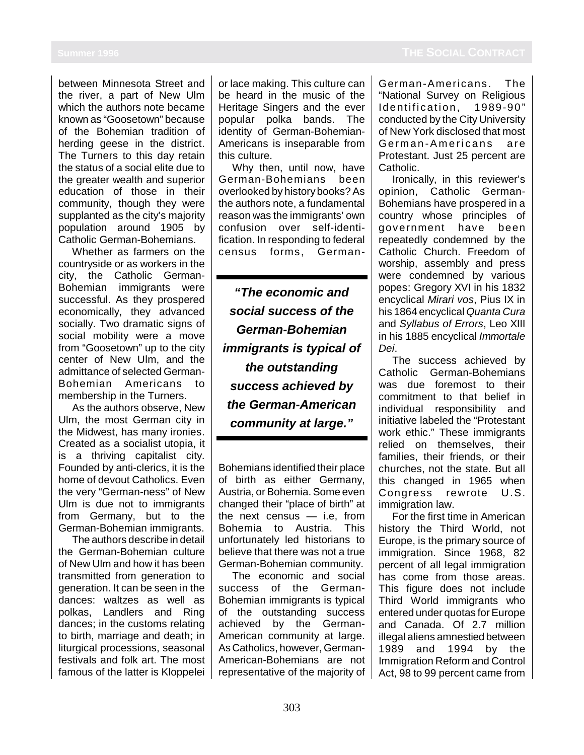between Minnesota Street and the river, a part of New Ulm which the authors note became known as "Goosetown" because of the Bohemian tradition of herding geese in the district. The Turners to this day retain the status of a social elite due to the greater wealth and superior education of those in their community, though they were supplanted as the city's majority population around 1905 by Catholic German-Bohemians.

Whether as farmers on the countryside or as workers in the city, the Catholic German-Bohemian immigrants were successful. As they prospered economically, they advanced socially. Two dramatic signs of social mobility were a move from "Goosetown" up to the city center of New Ulm, and the admittance of selected German-Bohemian Americans to membership in the Turners.

As the authors observe, New Ulm, the most German city in the Midwest, has many ironies. Created as a socialist utopia, it is a thriving capitalist city. Founded by anti-clerics, it is the home of devout Catholics. Even the very "German-ness" of New Ulm is due not to immigrants from Germany, but to the German-Bohemian immigrants.

The authors describe in detail the German-Bohemian culture of New Ulm and how it has been transmitted from generation to generation. It can be seen in the dances: waltzes as well as polkas, Landlers and Ring dances; in the customs relating to birth, marriage and death; in liturgical processions, seasonal festivals and folk art. The most famous of the latter is Kloppelei or lace making. This culture can be heard in the music of the Heritage Singers and the ever popular polka bands. The identity of German-Bohemian-Americans is inseparable from this culture.

Why then, until now, have German-Bohemians been overlooked by history books? As the authors note, a fundamental reason was the immigrants' own confusion over self-identification. In responding to federal census forms, German-

**"The economic and social success of the German-Bohemian immigrants is typical of the outstanding success achieved by the German-American community at large."**

Bohemians identified their place of birth as either Germany, Austria, or Bohemia. Some even changed their "place of birth" at the next census — i.e, from Bohemia to Austria. This unfortunately led historians to believe that there was not a true German-Bohemian community.

The economic and social success of the German-Bohemian immigrants is typical of the outstanding success achieved by the German-American community at large. As Catholics, however, German-American-Bohemians are not representative of the majority of German-Americans. The "National Survey on Religious Identification, 1989-90" conducted by the City University of New York disclosed that most German-Americans are Protestant. Just 25 percent are Catholic.

Ironically, in this reviewer's opinion, Catholic German-Bohemians have prospered in a country whose principles of government have been repeatedly condemned by the Catholic Church. Freedom of worship, assembly and press were condemned by various popes: Gregory XVI in his 1832 encyclical Mirari vos, Pius IX in his 1864 encyclical Quanta Cura and Syllabus of Errors, Leo XIII in his 1885 encyclical Immortale Dei.

The success achieved by Catholic German-Bohemians was due foremost to their commitment to that belief in individual responsibility and initiative labeled the "Protestant work ethic." These immigrants relied on themselves, their families, their friends, or their churches, not the state. But all this changed in 1965 when Congress rewrote U.S. immigration law.

For the first time in American history the Third World, not Europe, is the primary source of immigration. Since 1968, 82 percent of all legal immigration has come from those areas. This figure does not include Third World immigrants who entered under quotas for Europe and Canada. Of 2.7 million illegal aliens amnestied between 1989 and 1994 by the Immigration Reform and Control Act, 98 to 99 percent came from